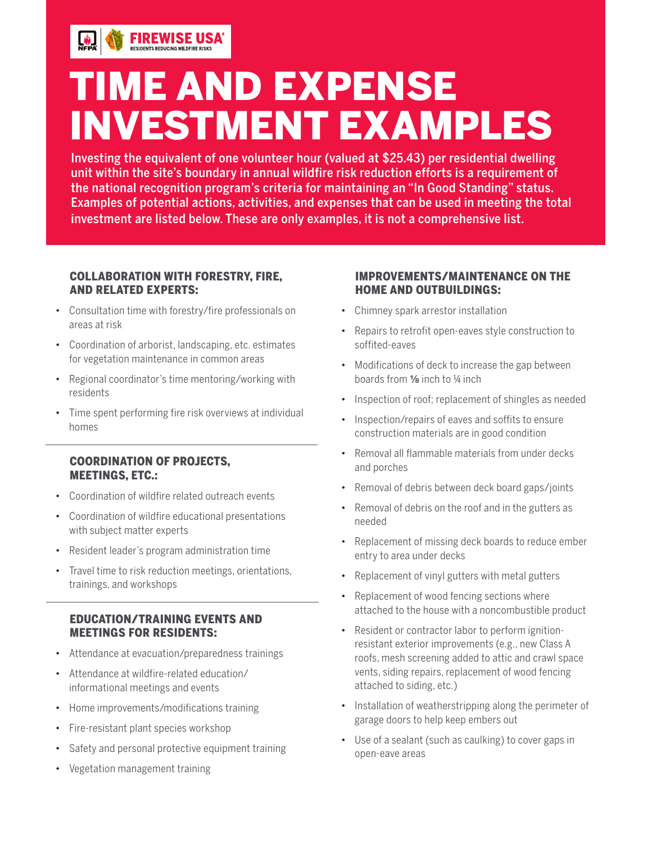

# TIME AND EXPENSE INVESTMENT EXAMPLES

Investing the equivalent of one volunteer hour (valued at \$25.43) per residential dwelling unit within the site's boundary in annual wildfire risk reduction efforts is a requirement of the national recognition program's criteria for maintaining an "In Good Standing" status. Examples of potential actions, activities, and expenses that can be used in meeting the total investment are listed below. These are only examples, it is not a comprehensive list.

### COLLABORATION WITH FORESTRY, FIRE, AND RELATED EXPERTS:

**FIREWISE USA** 

- Consultation time with forestry/fire professionals on areas at risk
- Coordination of arborist, landscaping, etc. estimates for vegetation maintenance in common areas
- Regional coordinator's time mentoring/working with residents
- Time spent performing fire risk overviews at individual homes

### COORDINATION OF PROJECTS, MEETINGS, ETC.:

- Coordination of wildfire related outreach events
- Coordination of wildfire educational presentations with subject matter experts
- Resident leader's program administration time
- Travel time to risk reduction meetings, orientations, trainings, and workshops

### EDUCATION/TRAINING EVENTS AND MEETINGS FOR RESIDENTS:

- Attendance at evacuation/preparedness trainings
- Attendance at wildfire-related education/ informational meetings and events
- Home improvements/modifications training
- Fire-resistant plant species workshop
- Safety and personal protective equipment training
- Vegetation management training

### IMPROVEMENTS/MAINTENANCE ON THE HOME AND OUTBUILDINGS:

- Chimney spark arrestor installation
- Repairs to retrofit open-eaves style construction to soffited-eaves
- Modifications of deck to increase the gap between boards from ⅛ inch to ¼ inch
- Inspection of roof; replacement of shingles as needed
- Inspection/repairs of eaves and soffits to ensure construction materials are in good condition
- Removal all flammable materials from under decks and porches
- Removal of debris between deck board gaps/joints
- Removal of debris on the roof and in the gutters as needed
- Replacement of missing deck boards to reduce ember entry to area under decks
- Replacement of vinyl gutters with metal gutters
- Replacement of wood fencing sections where attached to the house with a noncombustible product
- Resident or contractor labor to perform ignitionresistant exterior improvements (e.g., new Class A roofs, mesh screening added to attic and crawl space vents, siding repairs, replacement of wood fencing attached to siding, etc.)
- Installation of weatherstripping along the perimeter of garage doors to help keep embers out
- Use of a sealant (such as caulking) to cover gaps in open-eave areas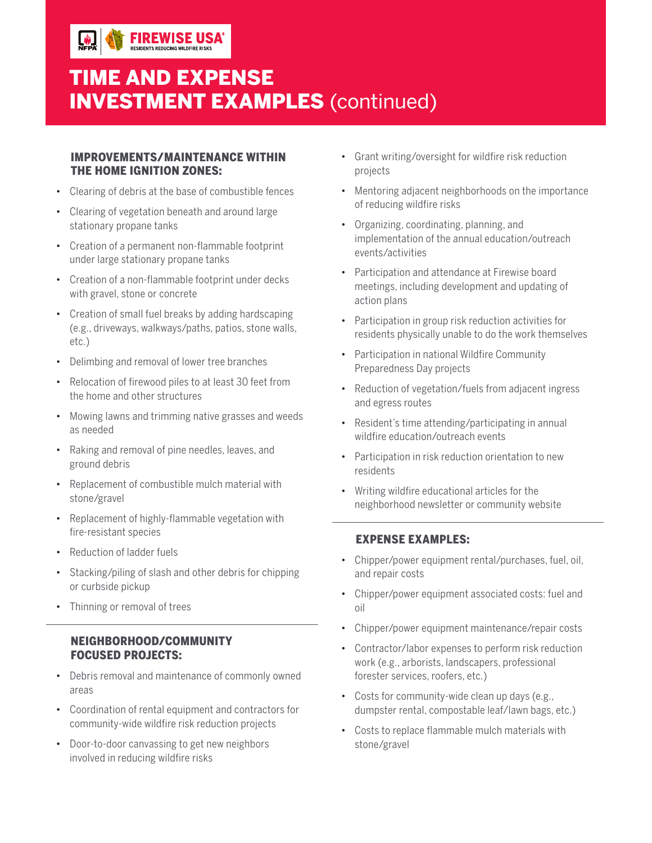### TIME AND EXPENSE INVESTMENT EXAMPLES (continued)

#### IMPROVEMENTS/MAINTENANCE WITHIN THE HOME IGNITION ZONES:

**FIREWISE USA** 

- Clearing of debris at the base of combustible fences
- Clearing of vegetation beneath and around large stationary propane tanks
- Creation of a permanent non-flammable footprint under large stationary propane tanks
- Creation of a non-flammable footprint under decks with gravel, stone or concrete
- Creation of small fuel breaks by adding hardscaping (e.g., driveways, walkways/paths, patios, stone walls, etc.)
- Delimbing and removal of lower tree branches
- Relocation of firewood piles to at least 30 feet from the home and other structures
- Mowing lawns and trimming native grasses and weeds as needed
- Raking and removal of pine needles, leaves, and ground debris
- Replacement of combustible mulch material with stone/gravel
- Replacement of highly-flammable vegetation with fire-resistant species
- Reduction of ladder fuels
- Stacking/piling of slash and other debris for chipping or curbside pickup
- Thinning or removal of trees

### NEIGHBORHOOD/COMMUNITY FOCUSED PROJECTS:

- Debris removal and maintenance of commonly owned areas
- Coordination of rental equipment and contractors for community-wide wildfire risk reduction projects
- Door-to-door canvassing to get new neighbors involved in reducing wildfire risks
- Grant writing/oversight for wildfire risk reduction projects
- Mentoring adjacent neighborhoods on the importance of reducing wildfire risks
- Organizing, coordinating, planning, and implementation of the annual education/outreach events/activities
- Participation and attendance at Firewise board meetings, including development and updating of action plans
- Participation in group risk reduction activities for residents physically unable to do the work themselves
- Participation in national Wildfire Community Preparedness Day projects
- Reduction of vegetation/fuels from adjacent ingress and egress routes
- Resident's time attending/participating in annual wildfire education/outreach events
- Participation in risk reduction orientation to new residents
- Writing wildfire educational articles for the neighborhood newsletter or community website

### EXPENSE EXAMPLES:

- Chipper/power equipment rental/purchases, fuel, oil, and repair costs
- Chipper/power equipment associated costs: fuel and oil
- Chipper/power equipment maintenance/repair costs
- Contractor/labor expenses to perform risk reduction work (e.g., arborists, landscapers, professional forester services, roofers, etc.)
- Costs for community-wide clean up days (e.g., dumpster rental, compostable leaf/lawn bags, etc.)
- Costs to replace flammable mulch materials with stone/gravel